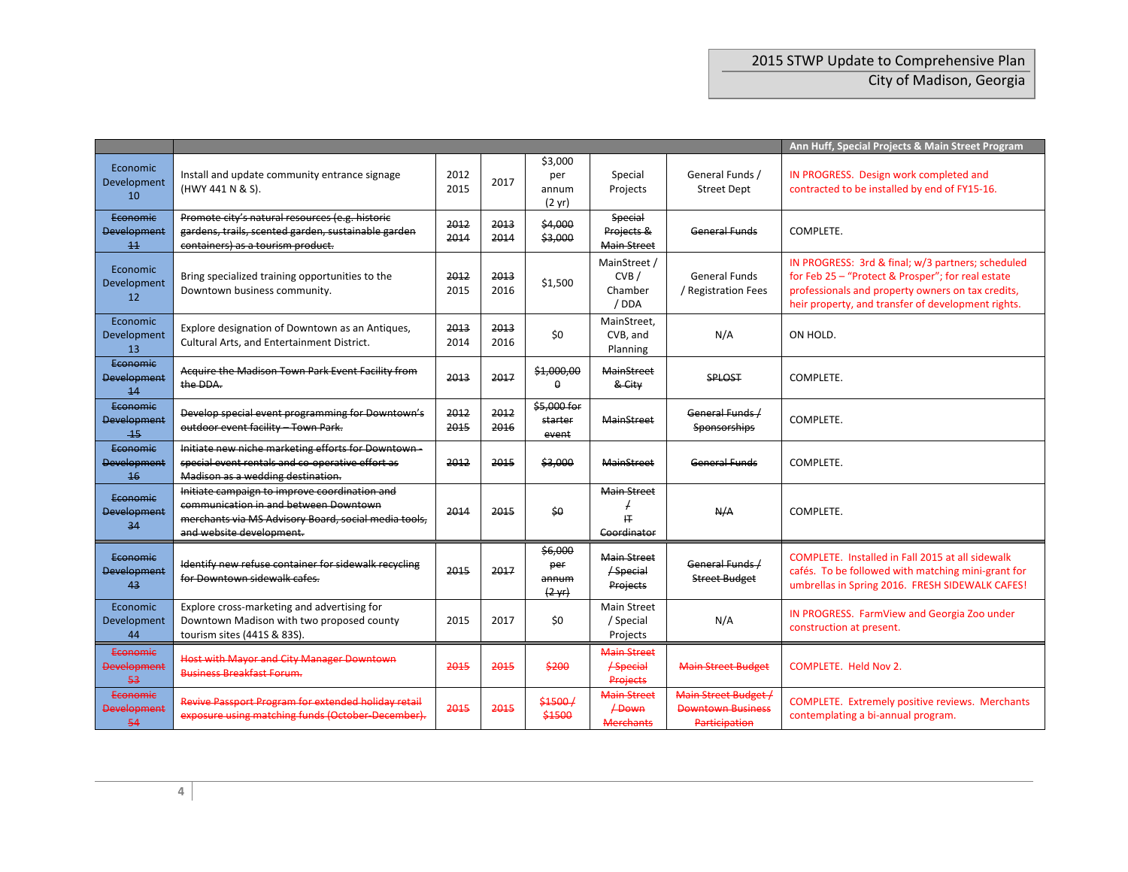|                                                 |                                                                                                                                                                            | Ann Huff, Special Projects & Main Street Program |              |                                             |                                                        |                                                                   |                                                                                                                                                                                                                   |
|-------------------------------------------------|----------------------------------------------------------------------------------------------------------------------------------------------------------------------------|--------------------------------------------------|--------------|---------------------------------------------|--------------------------------------------------------|-------------------------------------------------------------------|-------------------------------------------------------------------------------------------------------------------------------------------------------------------------------------------------------------------|
| Economic<br>Development<br>10                   | Install and update community entrance signage<br>(HWY 441 N & S).                                                                                                          | 2012<br>2015                                     | 2017         | \$3,000<br>per<br>annum<br>$(2 \text{ yr})$ | Special<br>Projects                                    | General Funds /<br><b>Street Dept</b>                             | IN PROGRESS. Design work completed and<br>contracted to be installed by end of FY15-16.                                                                                                                           |
| Economic<br><b>Development</b><br>11            | Promote city's natural resources (e.g. historic<br>gardens, trails, scented garden, sustainable garden<br>containers) as a tourism product.                                | 2012<br>2014                                     | 2013<br>2014 | \$4,000<br>\$3,000                          | Special<br>Projects &<br><b>Main Street</b>            | <b>General Funds</b>                                              | COMPLETE.                                                                                                                                                                                                         |
| Economic<br>Development<br>12                   | Bring specialized training opportunities to the<br>Downtown business community.                                                                                            | 2012<br>2015                                     | 2013<br>2016 | \$1,500                                     | MainStreet /<br>CVB<br>Chamber<br>/ DDA                | <b>General Funds</b><br>/ Registration Fees                       | IN PROGRESS: 3rd & final; w/3 partners; scheduled<br>for Feb 25 - "Protect & Prosper"; for real estate<br>professionals and property owners on tax credits,<br>heir property, and transfer of development rights. |
| Economic<br>Development<br>13                   | Explore designation of Downtown as an Antiques,<br>Cultural Arts, and Entertainment District.                                                                              | 2013<br>2014                                     | 2013<br>2016 | \$0                                         | MainStreet,<br>CVB, and<br>Planning                    | N/A                                                               | ON HOLD.                                                                                                                                                                                                          |
| Economic<br><b>Development</b><br>14            | Acquire the Madison Town Park Event Facility from<br>the DDA.                                                                                                              | 2013                                             | 2017         | \$1,000,00<br>$\Omega$                      | <b>MainStreet</b><br>& City                            | SPLOST                                                            | COMPLETE.                                                                                                                                                                                                         |
| Economic<br><b>Development</b><br>$-15$         | Develop special event programming for Downtown's<br>outdoor event facility - Town Park.                                                                                    | 2012<br>2015                                     | 2012<br>2016 | \$5,000 for<br>starter<br>event             | <b>MainStreet</b>                                      | General Funds /<br>Sponsorships                                   | COMPLETE.                                                                                                                                                                                                         |
| Economic<br><b>Development</b><br>16            | Initiate new niche marketing efforts for Downtown -<br>special event rentals and co-operative effort as<br>Madison as a wedding destination.                               | 2012                                             | 2015         | \$3,000                                     | <b>MainStreet</b>                                      | <b>General Funds</b>                                              | COMPLETE.                                                                                                                                                                                                         |
| Economic<br><b>Development</b><br>34            | Initiate campaign to improve coordination and<br>communication in and between Downtown<br>merchants via MS Advisory Board, social media tools,<br>and website development. | 2014                                             | 2015         | \$0                                         | <b>Main Street</b><br>圧<br>Coordinator                 | N/A                                                               | COMPLETE.                                                                                                                                                                                                         |
| Economic<br><b>Development</b><br>43            | Identify new refuse container for sidewalk recycling<br>for Downtown sidewalk cafes.                                                                                       | 2015                                             | 2017         | \$6,000<br>per<br>annum<br>$(2 \gamma r)$   | <b>Main Street</b><br>$/$ Special<br><b>Projects</b>   | General Funds /<br><b>Street Budget</b>                           | COMPLETE. Installed in Fall 2015 at all sidewalk<br>cafés. To be followed with matching mini-grant for<br>umbrellas in Spring 2016. FRESH SIDEWALK CAFES!                                                         |
| Economic<br>Development<br>44                   | Explore cross-marketing and advertising for<br>Downtown Madison with two proposed county<br>tourism sites (441S & 83S).                                                    | 2015                                             | 2017         | \$0                                         | <b>Main Street</b><br>/ Special<br>Projects            | N/A                                                               | IN PROGRESS. FarmView and Georgia Zoo under<br>construction at present.                                                                                                                                           |
| <del>Economic</del><br><b>Development</b><br>53 | <b>Host with Mayor and City Manager Downtown</b><br><b>Business Breakfast Forum.</b>                                                                                       | 2015                                             | 2015         | \$200                                       | <b>Main Street</b><br>$f$ Special<br><b>Projects</b>   | <b>Main Street Budget</b>                                         | <b>COMPLETE. Held Nov 2.</b>                                                                                                                                                                                      |
| Economic<br><b>Development</b><br>54            | Revive Passport Program for extended holiday retail<br>exposure using matching funds (October-December).                                                                   | 2015                                             | 2015         | \$1500/<br>\$1500                           | <b>Main Street</b><br><b>/Down</b><br><b>Merchants</b> | Main Street Budget /<br><b>Downtown Business</b><br>Participation | <b>COMPLETE.</b> Extremely positive reviews. Merchants<br>contemplating a bi-annual program.                                                                                                                      |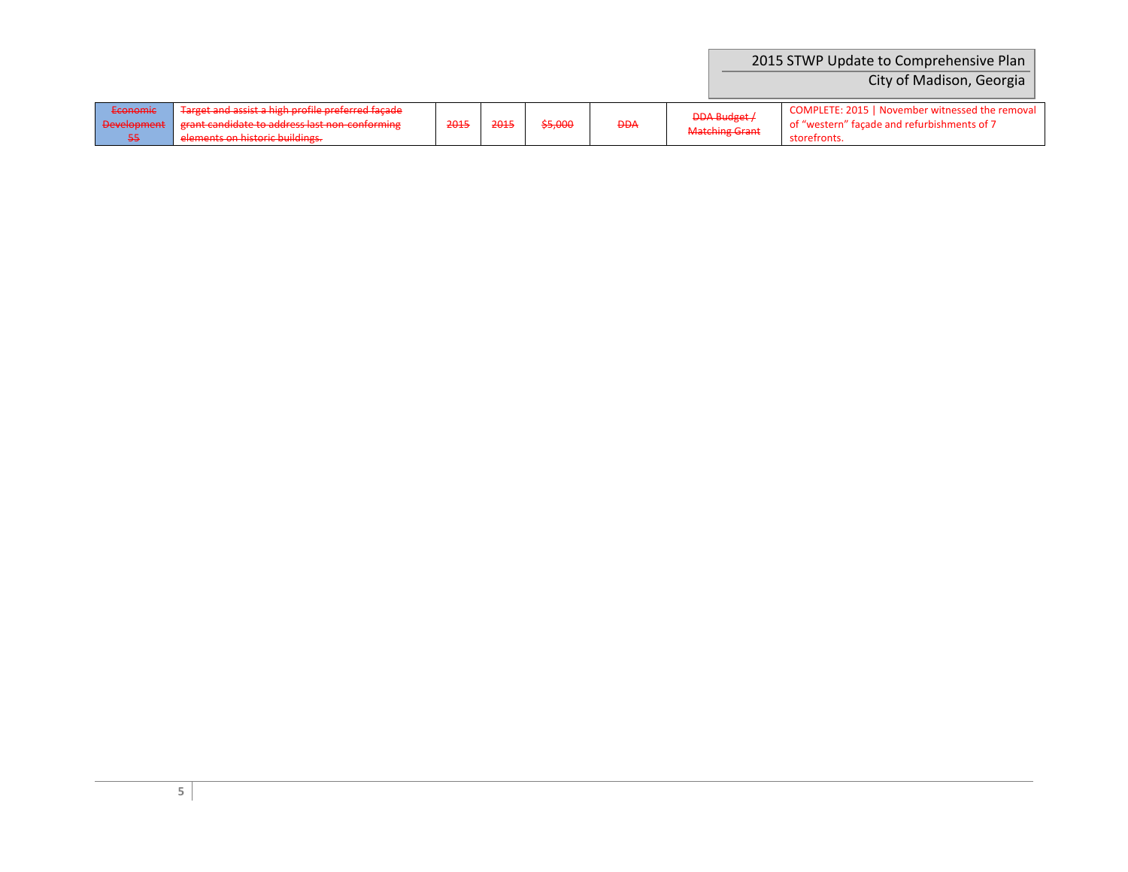|                                |                                                                                                                                                                                                                                                                  |      |      |         |            |                                              | 2015 STWP Update to Comprehensive Plan<br>City of Madison, Georgia                                             |
|--------------------------------|------------------------------------------------------------------------------------------------------------------------------------------------------------------------------------------------------------------------------------------------------------------|------|------|---------|------------|----------------------------------------------|----------------------------------------------------------------------------------------------------------------|
| Economic<br><b>Development</b> | Target and accist a high profile preferred facade<br><del>narget and assist a mgn prome preferred laçade</del> .<br>graph candidate to address last non-conforming<br><del>grant canolute to auuress last hon comonimig</del><br>elements on historic buildings. | 2015 | 2015 | \$5,000 | <b>DDA</b> | <b>DDA Budget /</b><br><b>Matching Grant</b> | COMPLETE: 2015   November witnessed the removal<br>of "western" facade and refurbishments of 7<br>storefronts. |

elements<del>s on</del>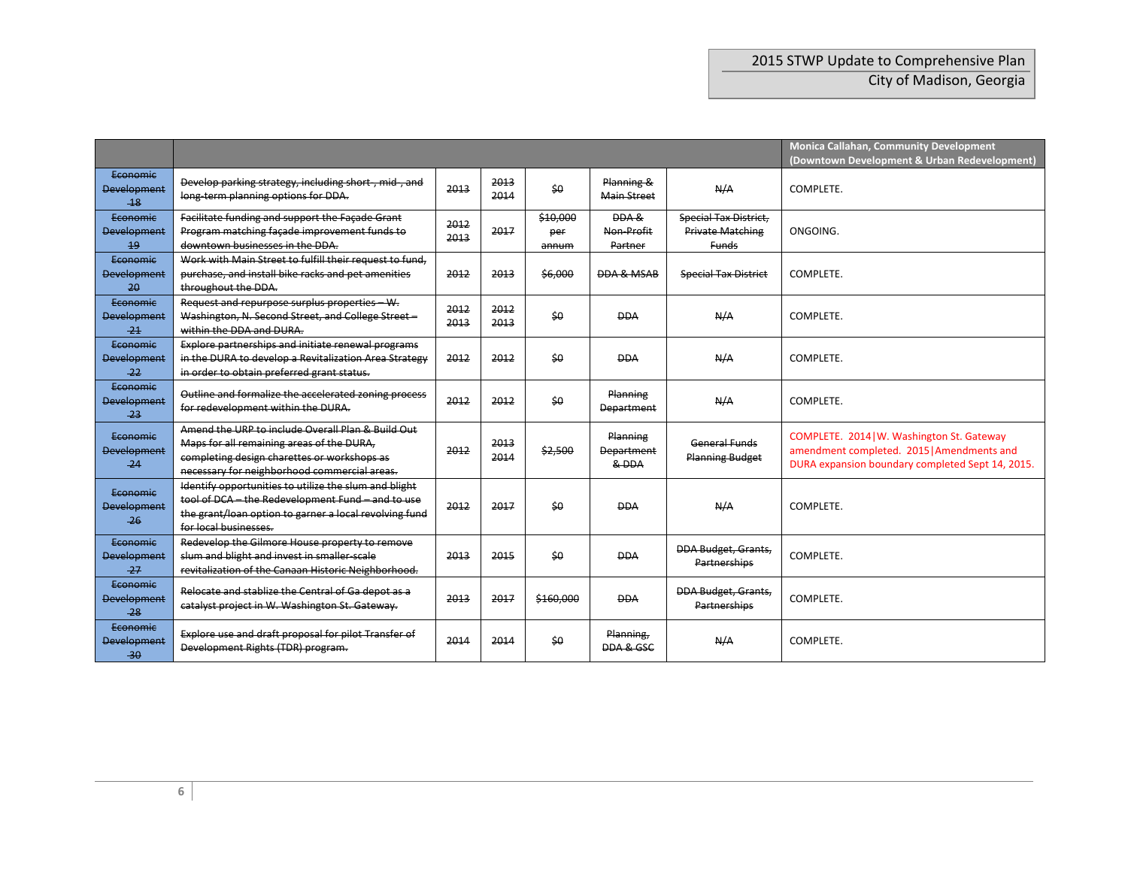|                                         |                                                                                                                                                                                               | Monica Callahan, Community Development<br>(Downtown Development & Urban Redevelopment) |              |                          |                                        |                                                                         |                                                                                                                                              |
|-----------------------------------------|-----------------------------------------------------------------------------------------------------------------------------------------------------------------------------------------------|----------------------------------------------------------------------------------------|--------------|--------------------------|----------------------------------------|-------------------------------------------------------------------------|----------------------------------------------------------------------------------------------------------------------------------------------|
| Economic<br><b>Development</b><br>$-18$ | Develop parking strategy, including short, mid, and<br>long term planning options for DDA.                                                                                                    | 2013                                                                                   | 2013<br>2014 | \$0                      | Planning &<br><b>Main Street</b>       | N/A                                                                     | COMPLETE.                                                                                                                                    |
| Economic<br>Development<br>19           | Facilitate funding and support the Facade Grant<br>Program matching facade improvement funds to<br>downtown businesses in the DDA.                                                            | 2012<br>2013                                                                           | 2017         | \$10,000<br>per<br>annum | DDA &<br>Non-Profit<br>Partner         | <b>Special Tax District,</b><br><b>Private Matching</b><br><b>Funds</b> | ONGOING.                                                                                                                                     |
| Economic<br><b>Development</b><br>20    | Work with Main Street to fulfill their request to fund,<br>purchase, and install bike racks and pet amenities<br>throughout the DDA.                                                          | 2012                                                                                   | 2013         | \$6,000                  | <b>DDA &amp; MSAB</b>                  | <b>Special Tax District</b>                                             | COMPLETE.                                                                                                                                    |
| Economic<br><b>Development</b><br>$-21$ | Request and repurpose surplus properties - W.<br>Washington, N. Second Street, and College Street-<br>within the DDA and DURA.                                                                | 2012<br>2013                                                                           | 2012<br>2013 | \$0                      | <b>DDA</b>                             | N/A                                                                     | COMPLETE.                                                                                                                                    |
| Economic<br><b>Development</b><br>$-22$ | Explore partnerships and initiate renewal programs<br>in the DURA to develop a Revitalization Area Strategy<br>in order to obtain preferred grant status.                                     | 2012                                                                                   | 2012         | \$0                      | <b>DDA</b>                             | N/A                                                                     | COMPLETE.                                                                                                                                    |
| Economic<br>Development<br>$-23$        | Outline and formalize the accelerated zoning process<br>for redevelopment within the DURA.                                                                                                    | 2012                                                                                   | 2012         | \$0                      | Planning<br><b>Department</b>          | N/A                                                                     | COMPLETE.                                                                                                                                    |
| Economic<br><b>Development</b><br>$-24$ | Amend the URP to include Overall Plan & Build Out<br>Maps for all remaining areas of the DURA,<br>completing design charettes or workshops as<br>necessary for neighborhood commercial areas. | 2012                                                                                   | 2013<br>2014 | \$2,500                  | Planning<br><b>Department</b><br>& DDA | General Funds<br><b>Planning Budget</b>                                 | COMPLETE. 2014   W. Washington St. Gateway<br>amendment completed. 2015   Amendments and<br>DURA expansion boundary completed Sept 14, 2015. |
| Economic<br><b>Development</b><br>$-26$ | Identify opportunities to utilize the slum and blight<br>tool of DCA - the Redevelopment Fund - and to use<br>the grant/loan option to garner a local revolving fund<br>for local businesses. | 2012                                                                                   | 2017         | \$0                      | <b>DDA</b>                             | N/A                                                                     | COMPLETE.                                                                                                                                    |
| Economic<br>Development<br>$-27$        | Redevelop the Gilmore House property to remove<br>slum and blight and invest in smaller-scale<br>revitalization of the Canaan Historic Neighborhood.                                          | 2013                                                                                   | 2015         | \$0                      | <b>DDA</b>                             | <b>DDA Budget, Grants,</b><br>Partnerships                              | COMPLETE.                                                                                                                                    |
| Economic<br><b>Development</b><br>$-28$ | Relocate and stablize the Central of Ga depot as a<br>catalyst project in W. Washington St. Gateway.                                                                                          | 2013                                                                                   | 2017         | \$160,000                | <b>DDA</b>                             | <b>DDA Budget, Grants,</b><br>Partnerships                              | COMPLETE.                                                                                                                                    |
| Economic<br><b>Development</b><br>$-30$ | Explore use and draft proposal for pilot Transfer of<br>Development Rights (TDR) program.                                                                                                     | 2014                                                                                   | 2014         | \$0                      | Planning,<br>DDA & GSC                 | N/A                                                                     | COMPLETE.                                                                                                                                    |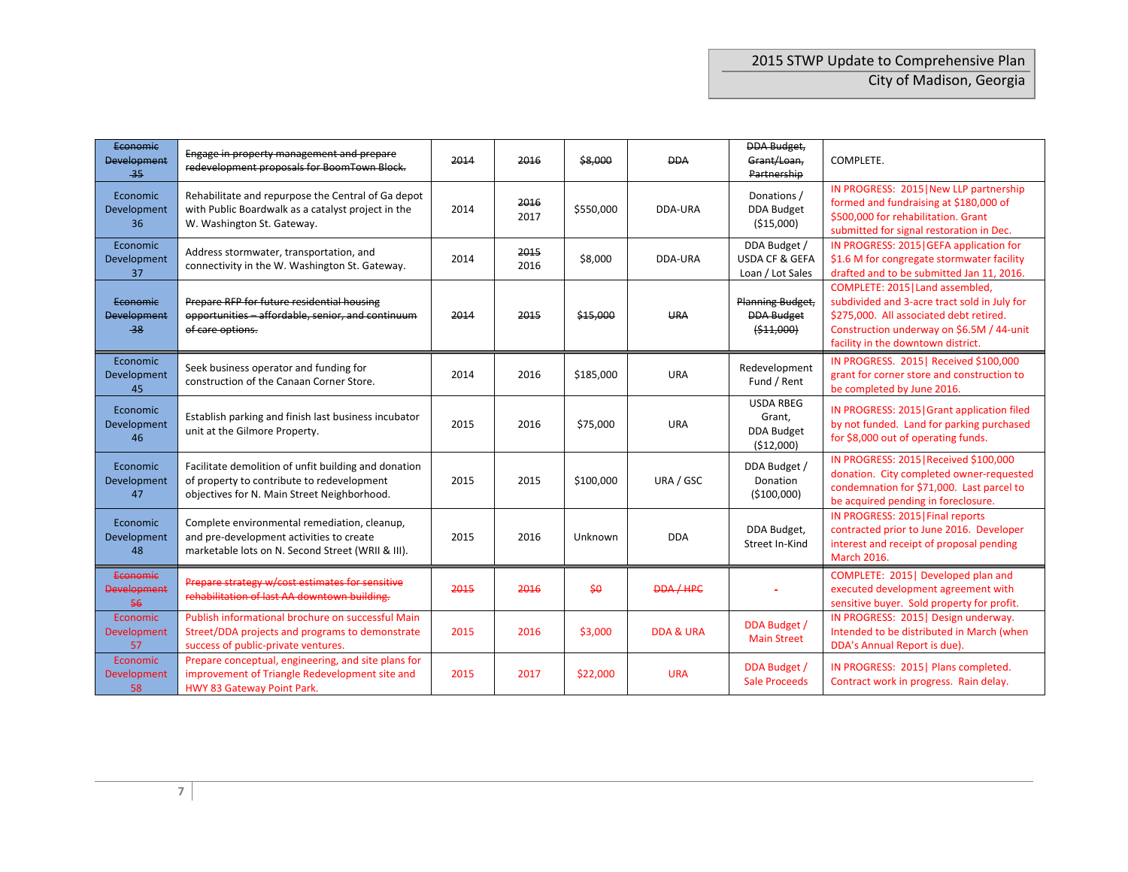| Economic<br><b>Development</b><br>$-35$        | Engage in property management and prepare<br>redevelopment proposals for BoomTown Block.                                                          | 2014 | 2016         | \$8,000    | <b>DDA</b>           | DDA Budget,<br>Grant/Loan,<br>Partnership                     | COMPLETE.                                                                                                                                                                                                      |
|------------------------------------------------|---------------------------------------------------------------------------------------------------------------------------------------------------|------|--------------|------------|----------------------|---------------------------------------------------------------|----------------------------------------------------------------------------------------------------------------------------------------------------------------------------------------------------------------|
| Economic<br>Development<br>36                  | Rehabilitate and repurpose the Central of Ga depot<br>with Public Boardwalk as a catalyst project in the<br>W. Washington St. Gateway.            | 2014 | 2016<br>2017 | \$550,000  | DDA-URA              | Donations /<br><b>DDA Budget</b><br>( \$15,000)               | IN PROGRESS: 2015   New LLP partnership<br>formed and fundraising at \$180,000 of<br>\$500,000 for rehabilitation. Grant<br>submitted for signal restoration in Dec.                                           |
| Economic<br><b>Development</b><br>37           | Address stormwater, transportation, and<br>connectivity in the W. Washington St. Gateway.                                                         | 2014 | 2015<br>2016 | \$8,000    | DDA-URA              | DDA Budget /<br><b>USDA CF &amp; GEFA</b><br>Loan / Lot Sales | IN PROGRESS: 2015   GEFA application for<br>\$1.6 M for congregate stormwater facility<br>drafted and to be submitted Jan 11, 2016.                                                                            |
| <b>Economic</b><br><b>Development</b><br>$-38$ | Prepare RFP for future residential housing<br>opportunities - affordable, senior, and continuum<br>of care options.                               | 2014 | 2015         | \$15,000   | <b>URA</b>           | Planning Budget,<br><b>DDA Budget</b><br>( \$11,000)          | COMPLETE: 2015   Land assembled,<br>subdivided and 3-acre tract sold in July for<br>\$275,000. All associated debt retired.<br>Construction underway on \$6.5M / 44-unit<br>facility in the downtown district. |
| Economic<br>Development<br>45                  | Seek business operator and funding for<br>construction of the Canaan Corner Store.                                                                | 2014 | 2016         | \$185,000  | <b>URA</b>           | Redevelopment<br>Fund / Rent                                  | IN PROGRESS. 2015   Received \$100,000<br>grant for corner store and construction to<br>be completed by June 2016.                                                                                             |
| Economic<br>Development<br>46                  | Establish parking and finish last business incubator<br>unit at the Gilmore Property.                                                             | 2015 | 2016         | \$75,000   | <b>URA</b>           | <b>USDA RBEG</b><br>Grant,<br><b>DDA Budget</b><br>(512,000)  | IN PROGRESS: 2015   Grant application filed<br>by not funded. Land for parking purchased<br>for \$8,000 out of operating funds.                                                                                |
| Economic<br>Development<br>47                  | Facilitate demolition of unfit building and donation<br>of property to contribute to redevelopment<br>objectives for N. Main Street Neighborhood. | 2015 | 2015         | \$100,000  | URA / GSC            | DDA Budget /<br>Donation<br>(\$100,000)                       | IN PROGRESS: 2015   Received \$100,000<br>donation. City completed owner-requested<br>condemnation for \$71,000. Last parcel to<br>be acquired pending in foreclosure.                                         |
| Economic<br>Development<br>48                  | Complete environmental remediation, cleanup,<br>and pre-development activities to create<br>marketable lots on N. Second Street (WRII & III).     | 2015 | 2016         | Unknown    | <b>DDA</b>           | DDA Budget,<br>Street In-Kind                                 | IN PROGRESS: 2015   Final reports<br>contracted prior to June 2016. Developer<br>interest and receipt of proposal pending<br><b>March 2016.</b>                                                                |
| Economic<br><b>Development</b><br>56           | Prepare strategy w/cost estimates for sensitive<br>rehabilitation of last AA downtown building.                                                   | 2015 | 2016         | $$ \Theta$ | <b>DDA/HPC</b>       |                                                               | COMPLETE: 2015   Developed plan and<br>executed development agreement with<br>sensitive buyer. Sold property for profit.                                                                                       |
| Economic<br>Development<br>57                  | Publish informational brochure on successful Main<br>Street/DDA projects and programs to demonstrate<br>success of public-private ventures.       | 2015 | 2016         | \$3,000    | <b>DDA &amp; URA</b> | DDA Budget /<br><b>Main Street</b>                            | IN PROGRESS: 2015   Design underway.<br>Intended to be distributed in March (when<br>DDA's Annual Report is due).                                                                                              |
| Economic<br>Development<br>58                  | Prepare conceptual, engineering, and site plans for<br>improvement of Triangle Redevelopment site and<br>HWY 83 Gateway Point Park.               | 2015 | 2017         | \$22,000   | <b>URA</b>           | DDA Budget /<br><b>Sale Proceeds</b>                          | IN PROGRESS: 2015   Plans completed.<br>Contract work in progress. Rain delay.                                                                                                                                 |